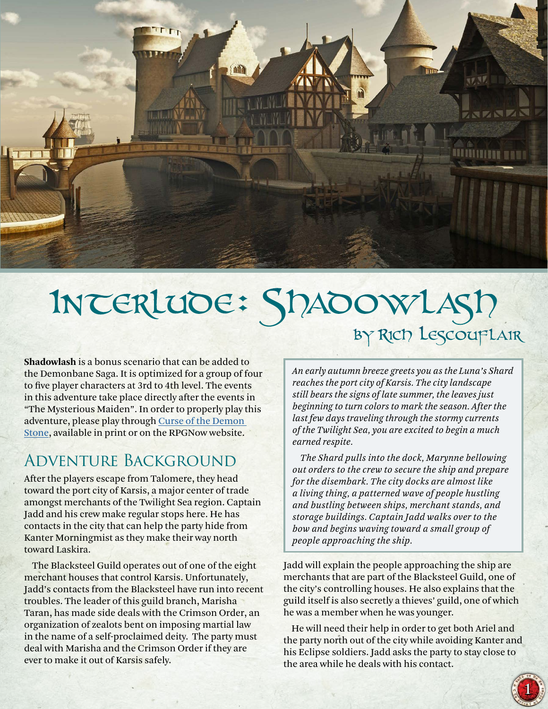

# Interlude: Shadowlash by Rich Lescouflair

**Shadowlash** is a bonus scenario that can be added to the Demonbane Saga. It is optimized for a group of four to five player characters at 3rd to 4th level. The events in this adventure take place directly after the events in "The Mysterious Maiden". In order to properly play this adventure, please play through [Curse of the Demon](http://rpgnow.com/product/186246/)  [Stone,](http://rpgnow.com/product/186246/) available in print or on the RPGNow website.

## Adventure Background

After the players escape from Talomere, they head toward the port city of Karsis, a major center of trade amongst merchants of the Twilight Sea region. Captain Jadd and his crew make regular stops here. He has contacts in the city that can help the party hide from Kanter Morningmist as they make their way north toward Laskira.

The Blacksteel Guild operates out of one of the eight merchant houses that control Karsis. Unfortunately, Jadd's contacts from the Blacksteel have run into recent troubles. The leader of this guild branch, Marisha Taran, has made side deals with the Crimson Order, an organization of zealots bent on imposing martial law in the name of a self-proclaimed deity. The party must deal with Marisha and the Crimson Order if they are ever to make it out of Karsis safely.

*An early autumn breeze greets you as the Luna's Shard reaches the port city of Karsis. The city landscape still bears the signs of late summer, the leaves just beginning to turn colors to mark the season. After the last few days traveling through the stormy currents of the Twilight Sea, you are excited to begin a much earned respite.*

*The Shard pulls into the dock, Marynne bellowing out orders to the crew to secure the ship and prepare for the disembark. The city docks are almost like a living thing, a patterned wave of people hustling and bustling between ships, merchant stands, and storage buildings. Captain Jadd walks over to the bow and begins waving toward a small group of people approaching the ship.*

Jadd will explain the people approaching the ship are merchants that are part of the Blacksteel Guild, one of the city's controlling houses. He also explains that the guild itself is also secretly a thieves' guild, one of which he was a member when he was younger.

He will need their help in order to get both Ariel and the party north out of the city while avoiding Kanter and his Eclipse soldiers. Jadd asks the party to stay close to the area while he deals with his contact.

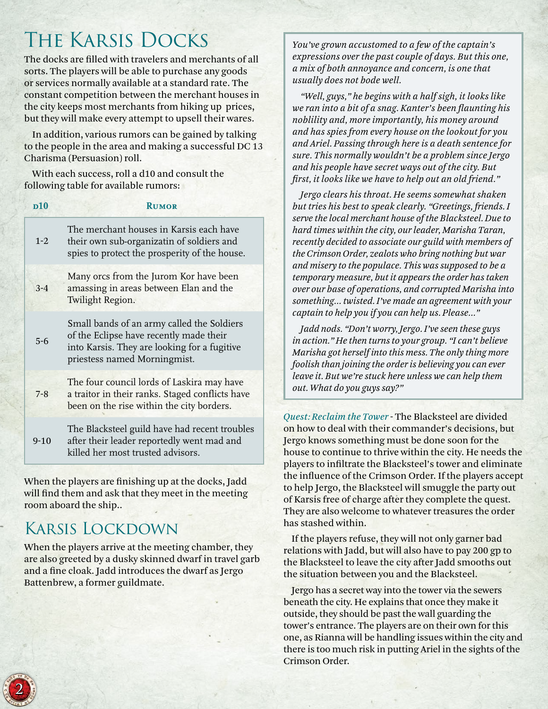# The Karsis Docks

The docks are filled with travelers and merchants of all sorts. The players will be able to purchase any goods or services normally available at a standard rate. The constant competition between the merchant houses in the city keeps most merchants from hiking up prices, but they will make every attempt to upsell their wares.

In addition, various rumors can be gained by talking to the people in the area and making a successful DC 13 Charisma (Persuasion) roll.

With each success, roll a d10 and consult the following table for available rumors:

| p10      | <b>RUMOR</b>                                                                                                                                                          |
|----------|-----------------------------------------------------------------------------------------------------------------------------------------------------------------------|
| $1 - 2$  | The merchant houses in Karsis each have<br>their own sub-organizatin of soldiers and<br>spies to protect the prosperity of the house.                                 |
| $3 - 4$  | Many orcs from the Jurom Kor have been<br>amassing in areas between Elan and the<br>Twilight Region.                                                                  |
| $5 - 6$  | Small bands of an army called the Soldiers<br>of the Eclipse have recently made their<br>into Karsis. They are looking for a fugitive<br>priestess named Morningmist. |
| $7 - 8$  | The four council lords of Laskira may have<br>a traitor in their ranks. Staged conflicts have<br>been on the rise within the city borders.                            |
| $9 - 10$ | The Blacksteel guild have had recent troubles<br>after their leader reportedly went mad and<br>killed her most trusted advisors.                                      |

When the players are finishing up at the docks, Jadd will find them and ask that they meet in the meeting room aboard the ship..

## Karsis Lockdown

When the players arrive at the meeting chamber, they are also greeted by a dusky skinned dwarf in travel garb and a fine cloak. Jadd introduces the dwarf as Jergo Battenbrew, a former guildmate.

*You've grown accustomed to a few of the captain's expressions over the past couple of days. But this one, a mix of both annoyance and concern, is one that usually does not bode well.*

*"Well, guys," he begins with a half sigh, it looks like we ran into a bit of a snag. Kanter's been flaunting his noblility and, more importantly, his money around and has spies from every house on the lookout for you and Ariel. Passing through here is a death sentence for sure. This normally wouldn't be a problem since Jergo and his people have secret ways out of the city. But first, it looks like we have to help out an old friend."*

*Jergo clears his throat. He seems somewhat shaken but tries his best to speak clearly. "Greetings, friends. I serve the local merchant house of the Blacksteel. Due to hard times within the city, our leader, Marisha Taran, recently decided to associate our guild with members of the Crimson Order, zealots who bring nothing but war and misery to the populace. This was supposed to be a temporary measure, but it appears the order has taken over our base of operations, and corrupted Marisha into something... twisted. I've made an agreement with your captain to help you if you can help us. Please..."*

*Jadd nods. "Don't worry, Jergo. I've seen these guys in action." He then turns to your group. "I can't believe Marisha got herself into this mess. The only thing more foolish than joining the order is believing you can ever leave it. But we're stuck here unless we can help them out. What do you guys say?"*

*Quest: Reclaim the Tower* - The Blacksteel are divided on how to deal with their commander's decisions, but Jergo knows something must be done soon for the house to continue to thrive within the city. He needs the players to infiltrate the Blacksteel's tower and eliminate the influence of the Crimson Order. If the players accept to help Jergo, the Blacksteel will smuggle the party out of Karsis free of charge after they complete the quest. They are also welcome to whatever treasures the order has stashed within.

If the players refuse, they will not only garner bad relations with Jadd, but will also have to pay 200 gp to the Blacksteel to leave the city after Jadd smooths out the situation between you and the Blacksteel.

Jergo has a secret way into the tower via the sewers beneath the city. He explains that once they make it outside, they should be past the wall guarding the tower's entrance. The players are on their own for this one, as Rianna will be handling issues within the city and there is too much risk in putting Ariel in the sights of the Crimson Order.

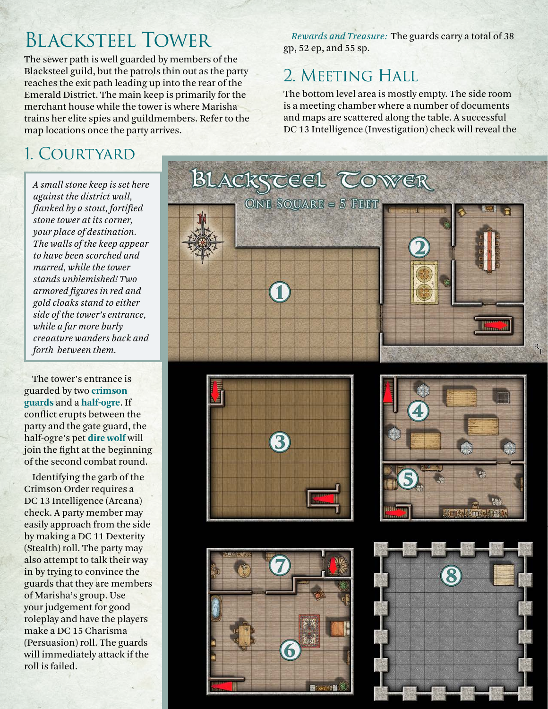# Blacksteel Tower

The sewer path is well guarded by members of the Blacksteel guild, but the patrols thin out as the party reaches the exit path leading up into the rear of the Emerald District. The main keep is primarily for the merchant house while the tower is where Marisha trains her elite spies and guildmembers. Refer to the map locations once the party arrives.

*Rewards and Treasure:* The guards carry a total of 38 gp, 52 ep, and 55 sp.

## 2. MEETING HALL

The bottom level area is mostly empty. The side room is a meeting chamber where a number of documents and maps are scattered along the table. A successful DC 13 Intelligence (Investigation) check will reveal the

## 1. Courtyard

*A small stone keep is set here against the district wall, flanked by a stout, fortified stone tower at its corner, your place of destination. The walls of the keep appear to have been scorched and marred, while the tower stands unblemished! Two armored figures in red and gold cloaks stand to either side of the tower's entrance, while a far more burly creaature wanders back and forth between them.*

The tower's entrance is guarded by two **crimson guards** and a **half-ogre**. If conflict erupts between the party and the gate guard, the half-ogre's pet **dire wolf** will join the fight at the beginning of the second combat round.

Identifying the garb of the Crimson Order requires a DC 13 Intelligence (Arcana) check. A party member may easily approach from the side by making a DC 11 Dexterity (Stealth) roll. The party may also attempt to talk their way in by trying to convince the guards that they are members of Marisha's group. Use your judgement for good roleplay and have the players make a DC 15 Charisma (Persuasion) roll. The guards will immediately attack if the roll is failed.









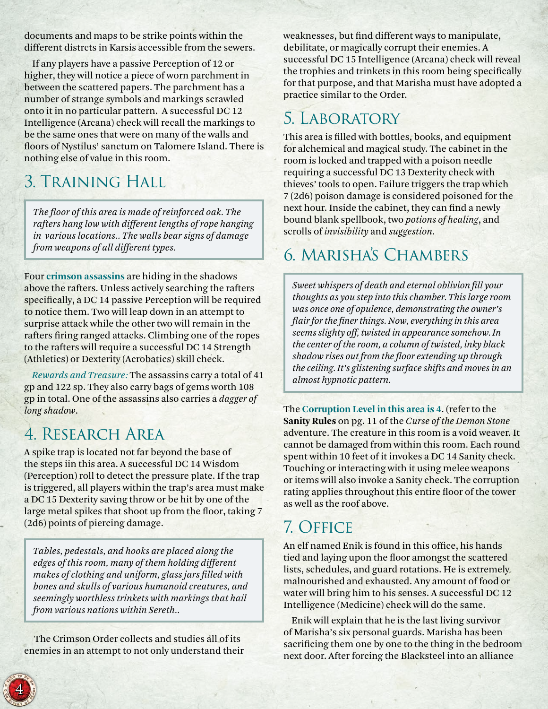documents and maps to be strike points within the different distrcts in Karsis accessible from the sewers.

If any players have a passive Perception of 12 or higher, they will notice a piece of worn parchment in between the scattered papers. The parchment has a number of strange symbols and markings scrawled onto it in no particular pattern. A successful DC 12 Intelligence (Arcana) check will recall the markings to be the same ones that were on many of the walls and floors of Nystilus' sanctum on Talomere Island. There is nothing else of value in this room.

# 3. Training Hall

*The floor of this area is made of reinforced oak. The rafters hang low with different lengths of rope hanging in various locations.. The walls bear signs of damage from weapons of all different types.*

Four **crimson assassins** are hiding in the shadows above the rafters. Unless actively searching the rafters specifically, a DC 14 passive Perception will be required to notice them. Two will leap down in an attempt to surprise attack while the other two will remain in the rafters firing ranged attacks. Climbing one of the ropes to the rafters will require a successful DC 14 Strength (Athletics) or Dexterity (Acrobatics) skill check.

*Rewards and Treasure:* The assassins carry a total of 41 gp and 122 sp. They also carry bags of gems worth 108 gp in total. One of the assassins also carries a *dagger of long shadow*.

# 4. Research Area

A spike trap is located not far beyond the base of the steps iin this area. A successful DC 14 Wisdom (Perception) roll to detect the pressure plate. If the trap is triggered, all players within the trap's area must make a DC 15 Dexterity saving throw or be hit by one of the large metal spikes that shoot up from the floor, taking 7 (2d6) points of piercing damage.

*Tables, pedestals, and hooks are placed along the edges of this room, many of them holding different makes of clothing and uniform, glass jars filled with bones and skulls of various humanoid creatures, and seemingly worthless trinkets with markings that hail from various nations within Sereth..*

 The Crimson Order collects and studies all of its enemies in an attempt to not only understand their weaknesses, but find different ways to manipulate, debilitate, or magically corrupt their enemies. A successful DC 15 Intelligence (Arcana) check will reveal the trophies and trinkets in this room being specifically for that purpose, and that Marisha must have adopted a practice similar to the Order.

# 5. Laboratory

This area is filled with bottles, books, and equipment for alchemical and magical study. The cabinet in the room is locked and trapped with a poison needle requiring a successful DC 13 Dexterity check with thieves' tools to open. Failure triggers the trap which 7 (2d6) poison damage is considered poisoned for the next hour. Inside the cabinet, they can find a newly bound blank spellbook, two *potions of healing*, and scrolls of *invisibility* and *suggestion*.

## 6. Marisha's Chambers

*Sweet whispers of death and eternal oblivion fill your thoughts as you step into this chamber. This large room was once one of opulence, demonstrating the owner's flair for the finer things. Now, everything in this area seems slighty off, twisted in appearance somehow. In the center of the room, a column of twisted, inky black shadow rises out from the floor extending up through the ceiling. It's glistening surface shifts and moves in an almost hypnotic pattern.* 

The **Corruption Level in this area is 4**. (refer to the **Sanity Rules** on pg. 11 of the *Curse of the Demon Stone*  adventure. The creature in this room is a void weaver. It cannot be damaged from within this room. Each round spent within 10 feet of it invokes a DC 14 Sanity check. Touching or interacting with it using melee weapons or items will also invoke a Sanity check. The corruption rating applies throughout this entire floor of the tower as well as the roof above.

# 7. Office

An elf named Enik is found in this office, his hands tied and laying upon the floor amongst the scattered lists, schedules, and guard rotations. He is extremely malnourished and exhausted. Any amount of food or water will bring him to his senses. A successful DC 12 Intelligence (Medicine) check will do the same.

Enik will explain that he is the last living survivor of Marisha's six personal guards. Marisha has been sacrificing them one by one to the thing in the bedroom next door. After forcing the Blacksteel into an alliance

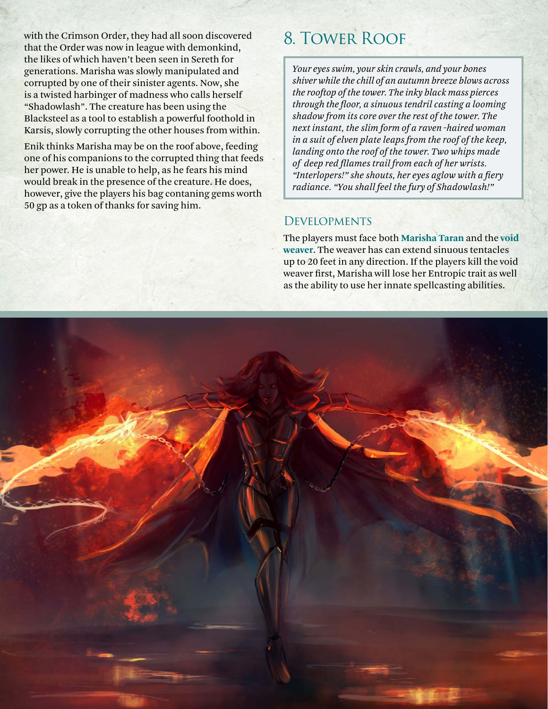with the Crimson Order, they had all soon discovered that the Order was now in league with demonkind, the likes of which haven't been seen in Sereth for generations. Marisha was slowly manipulated and corrupted by one of their sinister agents. Now, she is a twisted harbinger of madness who calls herself "Shadowlash". The creature has been using the Blacksteel as a tool to establish a powerful foothold in Karsis, slowly corrupting the other houses from within.

Enik thinks Marisha may be on the roof above, feeding one of his companions to the corrupted thing that feeds her power. He is unable to help, as he fears his mind would break in the presence of the creature. He does, however, give the players his bag contaning gems worth 50 gp as a token of thanks for saving him.

## 8. Tower Roof

*Your eyes swim, your skin crawls, and your bones shiver while the chill of an autumn breeze blows across the rooftop of the tower. The inky black mass pierces through the floor, a sinuous tendril casting a looming shadow from its core over the rest of the tower. The next instant, the slim form of a raven -haired woman in a suit of elven plate leaps from the roof of the keep, landing onto the roof of the tower. Two whips made of deep red fllames trail from each of her wrists. "Interlopers!" she shouts, her eyes aglow with a fiery radiance. "You shall feel the fury of Shadowlash!"*

## **DEVELOPMENTS**

The players must face both **Marisha Taran** and the **void weaver**. The weaver has can extend sinuous tentacles up to 20 feet in any direction. If the players kill the void weaver first, Marisha will lose her Entropic trait as well as the ability to use her innate spellcasting abilities.

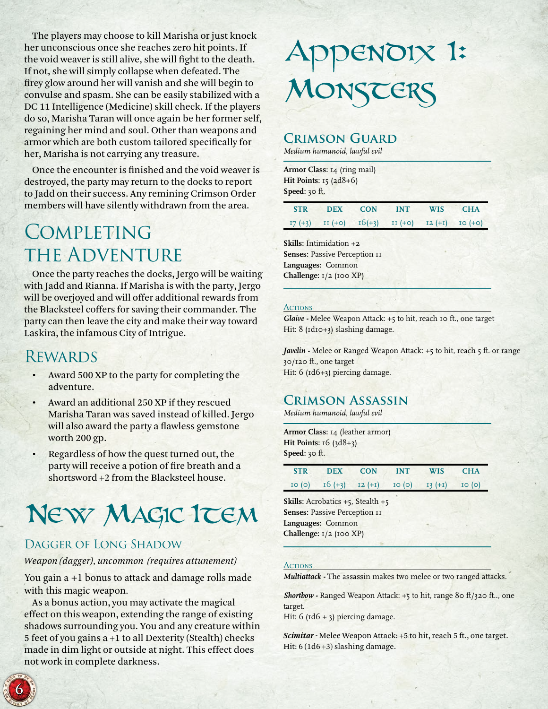The players may choose to kill Marisha or just knock her unconscious once she reaches zero hit points. If the void weaver is still alive, she will fight to the death. If not, she will simply collapse when defeated. The firey glow around her will vanish and she will begin to convulse and spasm. She can be easily stabilized with a DC 11 Intelligence (Medicine) skill check. If the players do so, Marisha Taran will once again be her former self, regaining her mind and soul. Other than weapons and armor which are both custom tailored specifically for her, Marisha is not carrying any treasure.

Once the encounter is finished and the void weaver is destroyed, the party may return to the docks to report to Jadd on their success. Any remining Crimson Order members will have silently withdrawn from the area.

# **COMPLETING** the Adventure

Once the party reaches the docks, Jergo will be waiting with Jadd and Rianna. If Marisha is with the party, Jergo will be overjoyed and will offer additional rewards from the Blacksteel coffers for saving their commander. The party can then leave the city and make their way toward Laskira, the infamous City of Intrigue.

## **REWARDS**

- Award 500 XP to the party for completing the adventure.
- Award an additional 250 XP if they rescued Marisha Taran was saved instead of killed. Jergo will also award the party a flawless gemstone worth 200 gp.
- Regardless of how the quest turned out, the party will receive a potion of fire breath and a shortsword +2 from the Blacksteel house.

# New MAGIC ITEM

### Dagger of Long Shadow

### *Weapon (dagger), uncommon (requires attunement)*

You gain a +1 bonus to attack and damage rolls made with this magic weapon.

As a bonus action, you may activate the magical effect on this weapon, extending the range of existing shadows surrounding you. You and any creature within 5 feet of you gains a +1 to all Dexterity (Stealth) checks made in dim light or outside at night. This effect does not work in complete darkness.

# Appendix I: MONSTERS

## **Crimson Guard**

*Medium humanoid, lawful evil*

**Armor Class:** 14 (ring mail) **Hit Points:** 15 (2d8+6) **Speed:** 30 ft.

| <b>STR</b> | DEX CON INT |                                                    | <b>WIS</b> | <b>CHA</b> |
|------------|-------------|----------------------------------------------------|------------|------------|
|            |             | $I7 (+3)$ II (+0) $I6(+3)$ II (+0) I2 (+1) I0 (+0) |            |            |

**Skills:** Intimidation +2 **Senses: Passive Perception II Languages:** Common **Challenge:** 1/2 (100 XP)

#### **ACTIONS**

*Glaive -* Melee Weapon Attack: +5 to hit, reach 10 ft., one target Hit: 8 (Id10+3) slashing damage.

*Javelin* - Melee or Ranged Weapon Attack: +5 to hit, reach 5 ft. or range 30/120 ft., one target Hit: 6 (1d6+3) piercing damage.

## **Crimson Assassin**

*Medium humanoid, lawful evil*

**Armor Class:** 14 (leather armor) **Hit Points: 16** (3d8+3) **Speed:** 30 ft.

|  |  | STR DEX CON INT WIS CHA                        |  |
|--|--|------------------------------------------------|--|
|  |  | $10 (0) 16 (+3) 12 (+1) 10 (0) 13 (+1) 10 (0)$ |  |

**Skills:** Acrobatics +5, Stealth +5 **Senses: Passive Perception II Languages:** Common **Challenge:** 1/2 (100 XP)

#### **ACTIONS**

*Multiattack -* The assassin makes two melee or two ranged attacks.

*Shortbow -* Ranged Weapon Attack: +5 to hit, range 80 ft/320 ft.., one target.

Hit:  $6$  ( $1d6 + 3$ ) piercing damage.

*Scimitar -* Melee Weapon Attack: +5 to hit, reach 5 ft., one target. Hit: 6 (1d6+3) slashing damage.

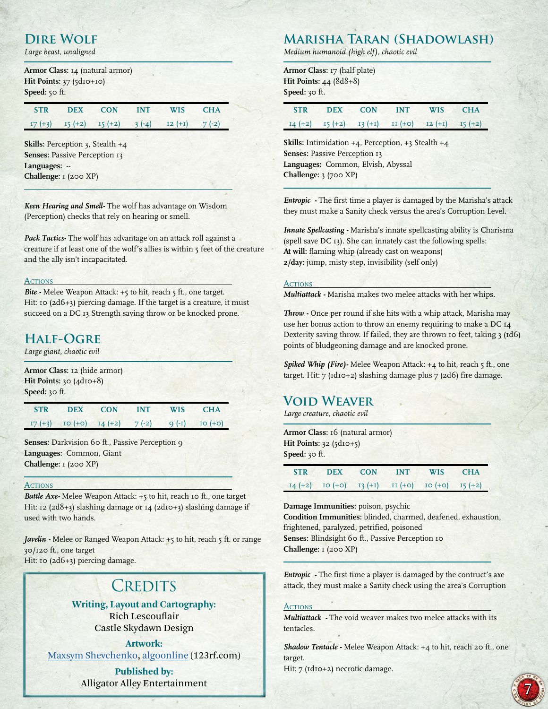## **Dire Wolf**

*Large beast, unaligned*

**Armor Class:** 14 (natural armor) **Hit Points:** 37 (5d10+10) **Speed:** 50 ft.

| <b>STR</b> | <b>DEX</b> | CON                           | <b>INT</b> | <b>WIS</b> | CHA     |
|------------|------------|-------------------------------|------------|------------|---------|
|            |            | $I7 (+3)$ $I5 (+2)$ $I5 (+2)$ | $3(-4)$    | $12 (+1)$  | $7(-2)$ |

**Skills:** Perception 3, Stealth +4 **Senses: Passive Perception 13 Languages:** -- **Challenge:** 1 (200 XP)

*Keen Hearing and Smell-* The wolf has advantage on Wisdom (Perception) checks that rely on hearing or smell.

*Pack Tactics-* The wolf has advantage on an attack roll against a creature if at least one of the wolf's allies is within 5 feet of the creature and the ally isn't incapacitated.

#### **ACTIONS**

*Bite -* Melee Weapon Attack: +5 to hit, reach 5 ft., one target. Hit: 10 (2d6+3) piercing damage. If the target is a creature, it must succeed on a DC 13 Strength saving throw or be knocked prone.

### **Half-Ogre**

*Large giant, chaotic evil*

**Armor Class:** 12 (hide armor) **Hit Points:** 30 (4d10+8) **Speed:** 30 ft.

**STR DEX CON INT WIS CHA** 17 (+3) 10 (+0) 14 (+2) 7 (-2) 9 (-1) 10 (+0)

Senses: Darkvision 60 ft., Passive Perception 9 **Languages:** Common, Giant **Challenge:** 1 (200 XP)

#### **ACTIONS**

*Battle Axe-* Melee Weapon Attack: +5 to hit, reach 10 ft., one target Hit: 12 (2d8+3) slashing damage or 14 (2d10+3) slashing damage if used with two hands.

*Javelin -* Melee or Ranged Weapon Attack: +5 to hit, reach 5 ft. or range 30/120 ft., one target Hit: 10 (2d6+3) piercing damage.

## **CREDITS**

**Writing, Layout and Cartography:** Rich Lescouflair Castle Skydawn Design

**Artwork:** [Maxsym Shevchenko,](http://www.123rf.com/profile_ibreaker213) [algoonline](http://www.123rf.com/profile_algolonline) (123rf.com)

> **Published by:**  Alligator Alley Entertainment

## **Marisha Taran (Shadowlash)**

*Medium humanoid (high elf), chaotic evil*

**Armor Class:** 17 (half plate) **Hit Points:** 44 (8d8+8) **Speed:** 30 ft.

| <b>STR</b> | <b>DEX</b> | <b>CON</b> | <b>INT</b>                                                  | <b>WIS</b> | <b>CHA</b> |
|------------|------------|------------|-------------------------------------------------------------|------------|------------|
|            |            |            | $I4 (+2)$ $I5 (+2)$ $I3 (+1)$ $II (+0)$ $I2 (+1)$ $I5 (+2)$ |            |            |

**Skills:** Intimidation +4, Perception, +3 Stealth +4 **Senses: Passive Perception 13 Languages:** Common, Elvish, Abyssal **Challenge:** 3 (700 XP)

*Entropic -* The first time a player is damaged by the Marisha's attack they must make a Sanity check versus the area's Corruption Level.

*Innate Spellcasting -* Marisha's innate spellcasting ability is Charisma (spell save DC 13). She can innately cast the following spells: **At will:** flaming whip (already cast on weapons) **2/day:** jump, misty step, invisibility (self only)

#### **ACTIONS**

*Multiattack -* Marisha makes two melee attacks with her whips.

*Throw -* Once per round if she hits with a whip attack, Marisha may use her bonus action to throw an enemy requiring to make a DC 14 Dexterity saving throw. If failed, they are thrown 10 feet, taking 3 (1d6) points of bludgeoning damage and are knocked prone.

*Spiked Whip (Fire)-* Melee Weapon Attack: +4 to hit, reach 5 ft., one target. Hit:  $7$  ( $rd$ 10+2) slashing damage plus  $7$  ( $2d6$ ) fire damage.

### **Void Weaver**

*Large creature, chaotic evil*

**Armor Class:** 16 (natural armor) **Hit Points: 32 (5d10+5) Speed:** 30 ft.

| STR DEX CON | <b>INT</b> | WIS CHA                                                     |  |
|-------------|------------|-------------------------------------------------------------|--|
|             |            | $I4 (+2)$ IO $(+0)$ I3 $(+1)$ II $(+0)$ IO $(+0)$ I5 $(+2)$ |  |

**Damage Immunities:** poison, psychic **Condition Immunities:** blinded, charmed, deafened, exhaustion, frightened, paralyzed, petrified, poisoned Senses: Blindsight 60 ft., Passive Perception 10 **Challenge:** 1 (200 XP)

*Entropic -* The first time a player is damaged by the contruct's axe attack, they must make a Sanity check using the area's Corruption

#### **ACTIONS**

*Multiattack -* The void weaver makes two melee attacks with its tentacles.

*Shadow Tentacle -* Melee Weapon Attack: +4 to hit, reach 20 ft., one target.

Hit: 7 (Id10+2) necrotic damage.